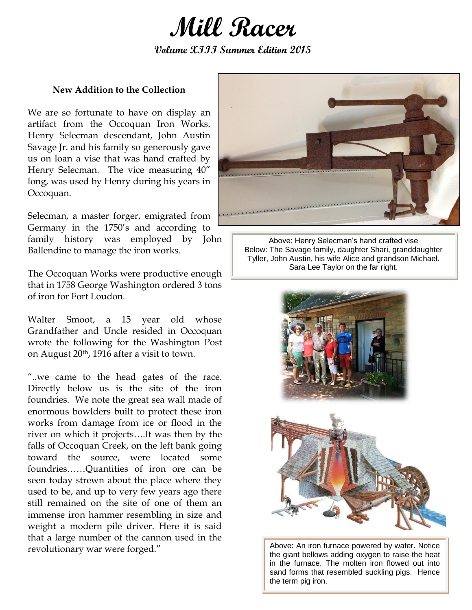

**Volume XIII Summer Edition 2015**

## **New Addition to the Collection**

We are so fortunate to have on display an artifact from the Occoquan Iron Works. Henry Selecman descendant, John Austin Savage Jr. and his family so generously gave us on loan a vise that was hand crafted by Henry Selecman. The vice measuring 40" long, was used by Henry during his years in Occoquan.

Selecman, a master forger, emigrated from Germany in the 1750's and according to family history was employed by John Ballendine to manage the iron works.

The Occoquan Works were productive enough that in 1758 George Washington ordered 3 tons of iron for Fort Loudon.

Walter Smoot, a 15 year old whose Grandfather and Uncle resided in Occoquan wrote the following for the Washington Post on August 20th, 1916 after a visit to town.

"..we came to the head gates of the race. Directly below us is the site of the iron foundries. We note the great sea wall made of enormous bowlders built to protect these iron works from damage from ice or flood in the river on which it projects….It was then by the falls of Occoquan Creek, on the left bank going toward the source, were located some foundries……Quantities of iron ore can be seen today strewn about the place where they used to be, and up to very few years ago there still remained on the site of one of them an immense iron hammer resembling in size and weight a modern pile driver. Here it is said that a large number of the cannon used in the revolutionary war were forged."



Above: Henry Selecman's hand crafted vise Below: The Savage family, daughter Shari, granddaughter Tyller, John Austin, his wife Alice and grandson Michael. Sara Lee Taylor on the far right.





Above: An iron furnace powered by water. Notice the giant bellows adding oxygen to raise the heat in the furnace. The molten iron flowed out into sand forms that resembled suckling pigs. Hence the term pig iron.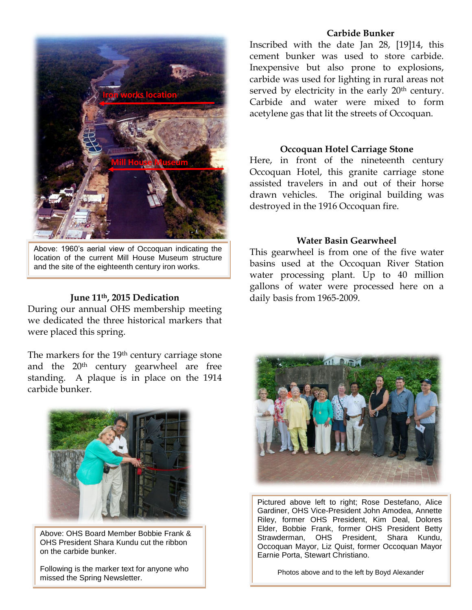

Above: 1960's aerial view of Occoquan indicating the location of the current Mill House Museum structure and the site of the eighteenth century iron works.

## **June 11th, 2015 Dedication**

During our annual OHS membership meeting we dedicated the three historical markers that were placed this spring.

The markers for the 19<sup>th</sup> century carriage stone and the 20th century gearwheel are free standing. A plaque is in place on the 1914 carbide bunker.



Above: OHS Board Member Bobbie Frank & OHS President Shara Kundu cut the ribbon on the carbide bunker.

Following is the marker text for anyone who missed the Spring Newsletter.

### **Carbide Bunker**

Inscribed with the date Jan 28, [19]14, this cement bunker was used to store carbide. Inexpensive but also prone to explosions, carbide was used for lighting in rural areas not served by electricity in the early 20<sup>th</sup> century. Carbide and water were mixed to form acetylene gas that lit the streets of Occoquan.

### **Occoquan Hotel Carriage Stone**

Here, in front of the nineteenth century Occoquan Hotel, this granite carriage stone assisted travelers in and out of their horse drawn vehicles. The original building was destroyed in the 1916 Occoquan fire.

### **Water Basin Gearwheel**

This gearwheel is from one of the five water basins used at the Occoquan River Station water processing plant. Up to 40 million gallons of water were processed here on a daily basis from 1965-2009.



Pictured above left to right; Rose Destefano, Alice Gardiner, OHS Vice-President John Amodea, Annette Riley, former OHS President, Kim Deal, Dolores Elder, Bobbie Frank, former OHS President Betty Strawderman, OHS President, Shara Kundu, Occoquan Mayor, Liz Quist, former Occoquan Mayor Earnie Porta, Stewart Christiano.

Photos above and to the left by Boyd Alexander